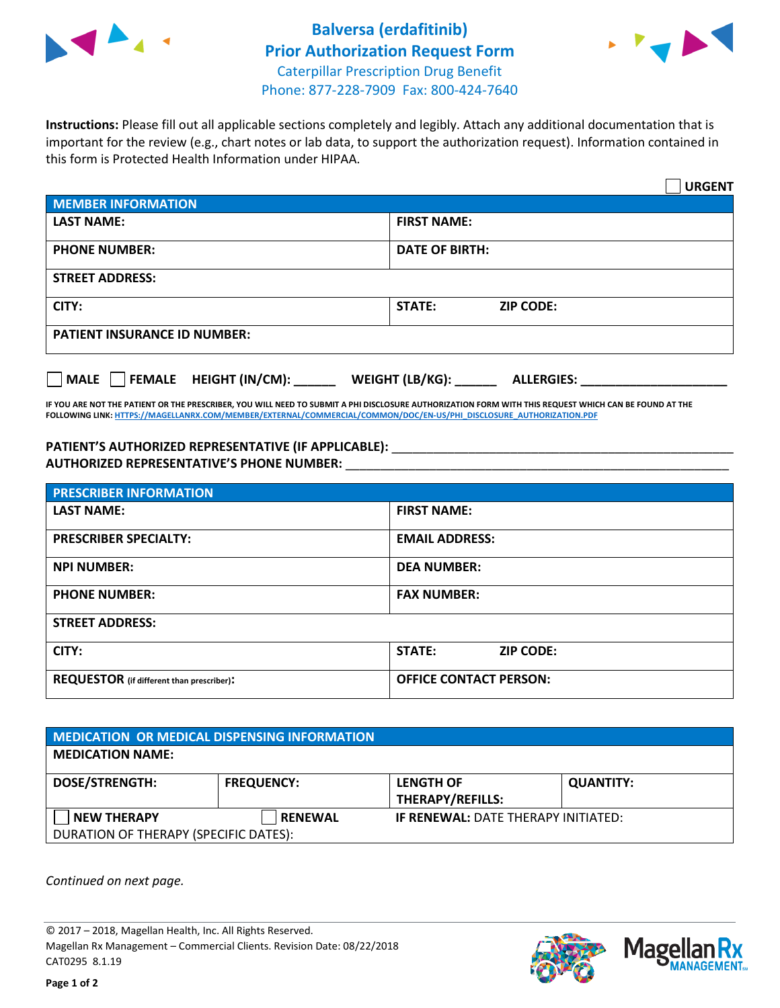



**Instructions:** Please fill out all applicable sections completely and legibly. Attach any additional documentation that is important for the review (e.g., chart notes or lab data, to support the authorization request). Information contained in this form is Protected Health Information under HIPAA.

|                                                | <b>URGENT</b>                        |  |  |  |
|------------------------------------------------|--------------------------------------|--|--|--|
| <b>MEMBER INFORMATION</b>                      |                                      |  |  |  |
| <b>LAST NAME:</b>                              | <b>FIRST NAME:</b>                   |  |  |  |
| <b>PHONE NUMBER:</b>                           | <b>DATE OF BIRTH:</b>                |  |  |  |
| <b>STREET ADDRESS:</b>                         |                                      |  |  |  |
| CITY:                                          | <b>STATE:</b><br><b>ZIP CODE:</b>    |  |  |  |
| <b>PATIENT INSURANCE ID NUMBER:</b>            |                                      |  |  |  |
| $\Box$ FEMALE HEIGHT (IN/CM): _<br><b>MALE</b> | WEIGHT (LB/KG):<br><b>ALLERGIES:</b> |  |  |  |

**IF YOU ARE NOT THE PATIENT OR THE PRESCRIBER, YOU WILL NEED TO SUBMIT A PHI DISCLOSURE AUTHORIZATION FORM WITH THIS REQUEST WHICH CAN BE FOUND AT THE FOLLOWING LINK[: HTTPS://MAGELLANRX.COM/MEMBER/EXTERNAL/COMMERCIAL/COMMON/DOC/EN-US/PHI\\_DISCLOSURE\\_AUTHORIZATION.PDF](https://magellanrx.com/member/external/commercial/common/doc/en-us/PHI_Disclosure_Authorization.pdf)**

PATIENT'S AUTHORIZED REPRESENTATIVE (IF APPLICABLE): \_\_\_\_\_\_\_\_\_\_\_\_\_\_\_\_\_\_\_\_\_\_\_\_\_\_\_ **AUTHORIZED REPRESENTATIVE'S PHONE NUMBER:** \_\_\_\_\_\_\_\_\_\_\_\_\_\_\_\_\_\_\_\_\_\_\_\_\_\_\_\_\_\_\_\_\_\_\_\_\_\_\_\_\_\_\_\_\_\_\_\_\_\_\_\_\_\_\_

| <b>PRESCRIBER INFORMATION</b>             |                               |  |  |  |
|-------------------------------------------|-------------------------------|--|--|--|
| <b>LAST NAME:</b>                         | <b>FIRST NAME:</b>            |  |  |  |
| <b>PRESCRIBER SPECIALTY:</b>              | <b>EMAIL ADDRESS:</b>         |  |  |  |
| <b>NPI NUMBER:</b>                        | <b>DEA NUMBER:</b>            |  |  |  |
| <b>PHONE NUMBER:</b>                      | <b>FAX NUMBER:</b>            |  |  |  |
| <b>STREET ADDRESS:</b>                    |                               |  |  |  |
| CITY:                                     | STATE:<br><b>ZIP CODE:</b>    |  |  |  |
| REQUESTOR (if different than prescriber): | <b>OFFICE CONTACT PERSON:</b> |  |  |  |

| <b>MEDICATION OR MEDICAL DISPENSING INFORMATION</b> |                   |                                            |                  |  |  |
|-----------------------------------------------------|-------------------|--------------------------------------------|------------------|--|--|
| <b>MEDICATION NAME:</b>                             |                   |                                            |                  |  |  |
| <b>DOSE/STRENGTH:</b>                               | <b>FREQUENCY:</b> | <b>LENGTH OF</b>                           | <b>QUANTITY:</b> |  |  |
|                                                     |                   | <b>THERAPY/REFILLS:</b>                    |                  |  |  |
| <b>NEW THERAPY</b>                                  | <b>RENEWAL</b>    | <b>IF RENEWAL: DATE THERAPY INITIATED:</b> |                  |  |  |
| DURATION OF THERAPY (SPECIFIC DATES):               |                   |                                            |                  |  |  |

*Continued on next page.*

© 2017 – 2018, Magellan Health, Inc. All Rights Reserved. Magellan Rx Management – Commercial Clients. Revision Date: 08/22/2018 CAT0295 8.1.19